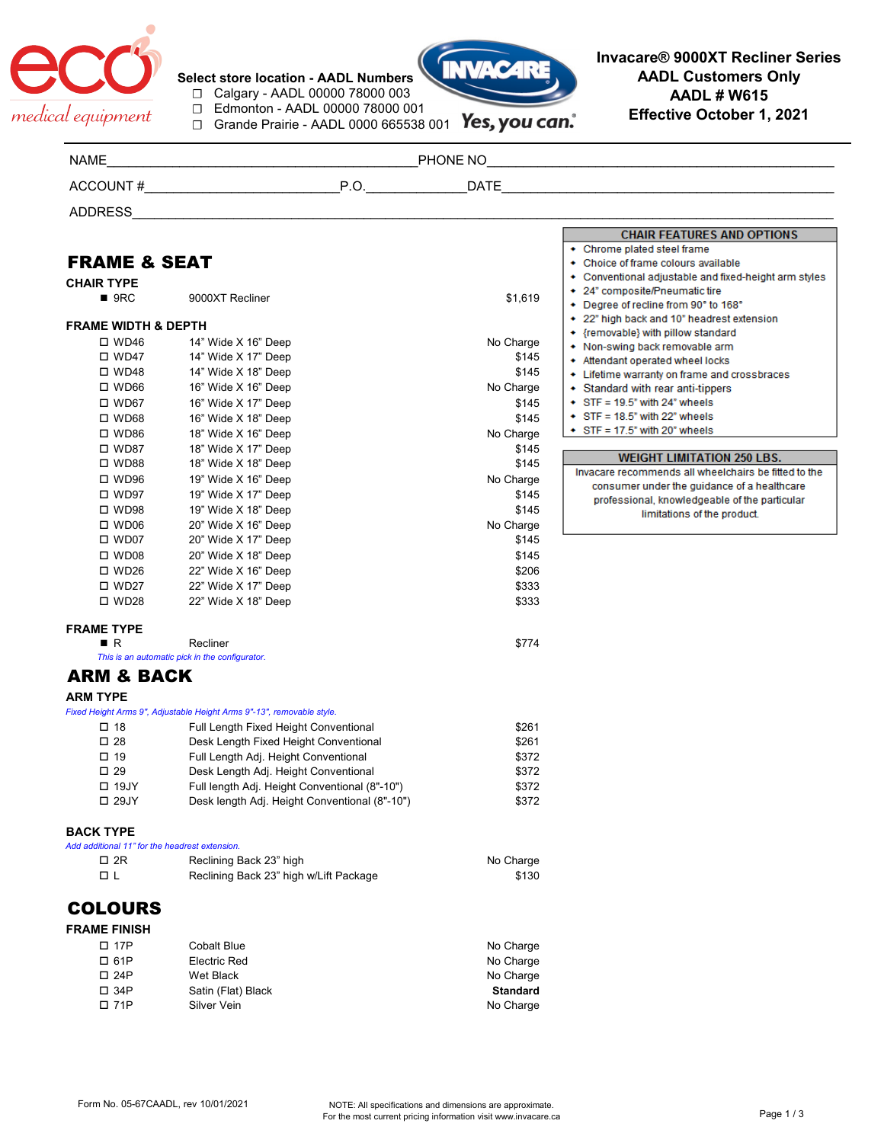

| Select store location - AADL Numbers |  |  |
|--------------------------------------|--|--|
|                                      |  |  |

 ☐ Calgary - AADL 00000 78000 003 ☐ Edmonton - AADL 00000 78000 001

 $\Box$  Grande Prairie - AADL 0000 665538 001 Yes, you can.



|                                                |                                                                       |                 | <b>CHAIR FEATURES AND OPTIONS</b>                                      |
|------------------------------------------------|-----------------------------------------------------------------------|-----------------|------------------------------------------------------------------------|
|                                                |                                                                       |                 | • Chrome plated steel frame                                            |
| <b>FRAME &amp; SEAT</b>                        |                                                                       |                 | • Choice of frame colours available                                    |
| <b>CHAIR TYPE</b>                              |                                                                       |                 | • Conventional adjustable and fixed-height arm styles                  |
| $\blacksquare$ 9RC                             | 9000XT Recliner                                                       | \$1,619         | + 24" composite/Pneumatic tire<br>+ Degree of recline from 90° to 168° |
|                                                |                                                                       |                 | + 22" high back and 10" headrest extension                             |
| <b>FRAME WIDTH &amp; DEPTH</b>                 |                                                                       |                 | * {removable} with pillow standard                                     |
| $\square$ WD46                                 | 14" Wide X 16" Deep                                                   | No Charge       | • Non-swing back removable arm                                         |
| $\square$ WD47                                 | 14" Wide X 17" Deep                                                   | \$145           | + Attendant operated wheel locks                                       |
| $\square$ WD48                                 | 14" Wide X 18" Deep                                                   | \$145           | + Lifetime warranty on frame and crossbraces                           |
| $\square$ WD66                                 | 16" Wide X 16" Deep                                                   | No Charge       | • Standard with rear anti-tippers                                      |
| $\square$ WD67                                 | 16" Wide X 17" Deep                                                   | \$145           | $\bullet$ STF = 19.5" with 24" wheels                                  |
| $\square$ WD68                                 | 16" Wide X 18" Deep                                                   | \$145           | $\div$ STF = 18.5" with 22" wheels                                     |
| $\square$ WD86                                 | 18" Wide X 16" Deep                                                   | No Charge       | $\div$ STF = 17.5" with 20" wheels                                     |
| $\square$ WD87                                 | 18" Wide X 17" Deep                                                   | \$145           | <b>WEIGHT LIMITATION 250 LBS.</b>                                      |
| $\square$ WD88                                 | 18" Wide X 18" Deep                                                   | \$145           | Invacare recommends all wheelchairs be fitted to the                   |
| $\square$ WD96                                 | 19" Wide X 16" Deep                                                   | No Charge       | consumer under the guidance of a healthcare                            |
| $\square$ WD97                                 | 19" Wide X 17" Deep                                                   | \$145           | professional, knowledgeable of the particular                          |
| $\square$ WD98                                 | 19" Wide X 18" Deep                                                   | \$145           | limitations of the product.                                            |
| $\square$ WD06                                 | 20" Wide X 16" Deep                                                   | No Charge       |                                                                        |
| $\square$ WD07                                 | 20" Wide X 17" Deep                                                   | \$145           |                                                                        |
| $\square$ WD08                                 | 20" Wide X 18" Deep                                                   | \$145           |                                                                        |
| $\square$ WD26                                 | 22" Wide X 16" Deep                                                   | \$206           |                                                                        |
| $\square$ WD27                                 | 22" Wide X 17" Deep                                                   | \$333           |                                                                        |
| $\square$ WD28                                 | 22" Wide X 18" Deep                                                   | \$333           |                                                                        |
| <b>FRAME TYPE</b>                              |                                                                       |                 |                                                                        |
| R                                              | Recliner                                                              | \$774           |                                                                        |
|                                                | This is an automatic pick in the configurator.                        |                 |                                                                        |
| <b>ARM &amp; BACK</b>                          |                                                                       |                 |                                                                        |
| <b>ARM TYPE</b>                                |                                                                       |                 |                                                                        |
|                                                | Fixed Height Arms 9", Adjustable Height Arms 9"-13", removable style. |                 |                                                                        |
| $\square$ 18                                   | Full Length Fixed Height Conventional                                 | \$261           |                                                                        |
| $\square$ 28                                   | Desk Length Fixed Height Conventional                                 | \$261           |                                                                        |
| $\square$ 19                                   | Full Length Adj. Height Conventional                                  | \$372           |                                                                        |
| $\square$ 29                                   | Desk Length Adj. Height Conventional                                  | \$372           |                                                                        |
| $\square$ 19JY                                 | Full length Adj. Height Conventional (8"-10")                         | \$372           |                                                                        |
| □ 29JY                                         | Desk length Adj. Height Conventional (8"-10")                         | \$372           |                                                                        |
| <b>BACK TYPE</b>                               |                                                                       |                 |                                                                        |
| Add additional 11" for the headrest extension. |                                                                       |                 |                                                                        |
| □ 2R                                           | Reclining Back 23" high                                               | No Charge       |                                                                        |
| 口上                                             | Reclining Back 23" high w/Lift Package                                | \$130           |                                                                        |
| <b>COLOURS</b>                                 |                                                                       |                 |                                                                        |
| <b>FRAME FINISH</b>                            |                                                                       |                 |                                                                        |
| $\square$ 17P                                  | <b>Cobalt Blue</b>                                                    | No Charge       |                                                                        |
| □ 61P                                          | <b>Electric Red</b>                                                   | No Charge       |                                                                        |
| $\square$ 24P                                  | Wet Black                                                             | No Charge       |                                                                        |
| $\square$ 34P                                  | Satin (Flat) Black                                                    | <b>Standard</b> |                                                                        |
| $\square$ 71P                                  | Silver Vein                                                           | No Charge       |                                                                        |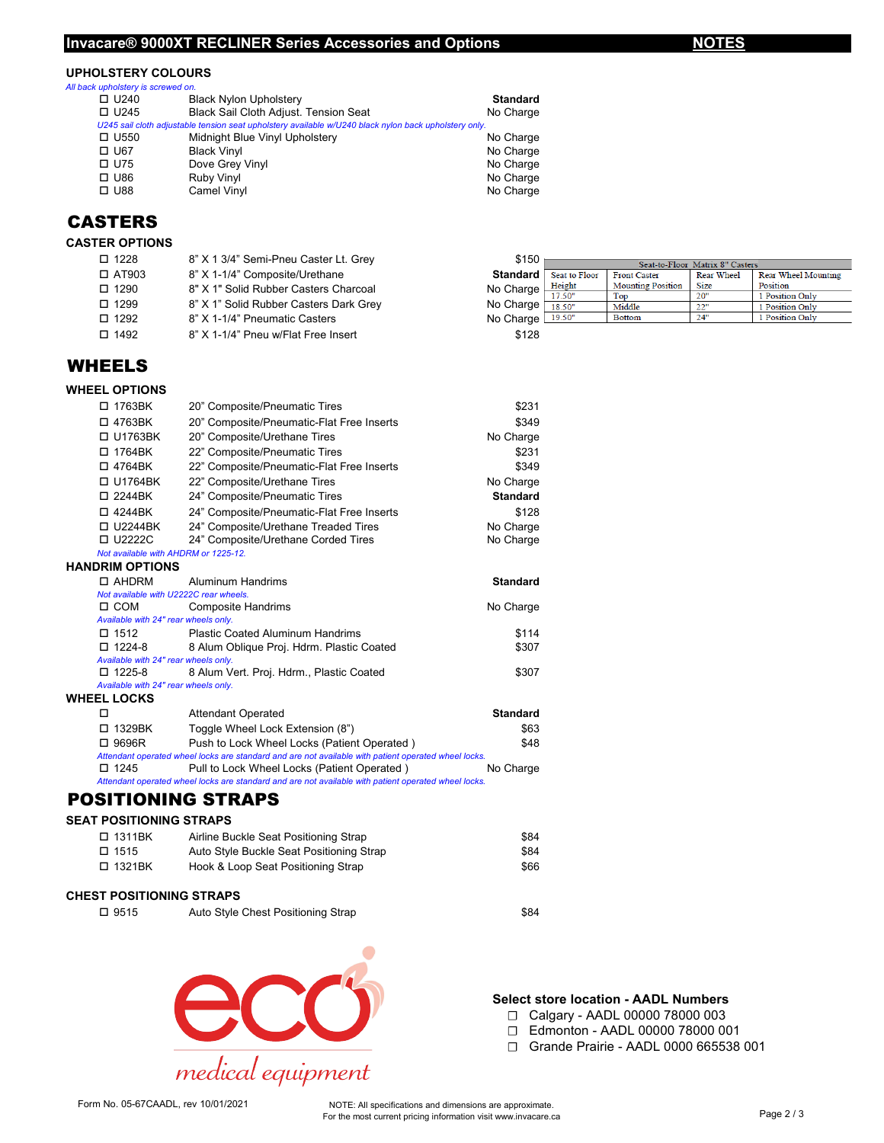#### **Invacare® 9000XT RECLINER Series Accessories and Options NOTES**

# **UPHOLSTERY COLOURS**<br>All back upholstery is screwed on.

| All back upholstery is screwed on. |                                                                                                       |                 |
|------------------------------------|-------------------------------------------------------------------------------------------------------|-----------------|
| $\Box$ U240                        | <b>Black Nylon Upholstery</b>                                                                         | <b>Standard</b> |
| $\Box$ U245                        | <b>Black Sail Cloth Adjust. Tension Seat</b>                                                          | No Charge       |
|                                    | U245 sail cloth adjustable tension seat upholstery available w/U240 black nylon back upholstery only. |                 |
| $\Box$ U550                        | Midnight Blue Vinyl Upholstery                                                                        | No Charge       |
| $\Box$ U67                         | <b>Black Vinyl</b>                                                                                    | No Charge       |
| $\Box$ U75                         | Dove Grey Vinyl                                                                                       | No Charge       |
| $\square$ U86                      | <b>Ruby Vinyl</b>                                                                                     | No Charge       |
| $\square$ U88                      | Camel Vinyl                                                                                           | No Charge       |

## CASTERS

#### **CASTER OPTIONS**

| $\square$ 1228 | 8" X 1 3/4" Semi-Pneu Caster Lt. Grey  | \$150                                           |               |                          | Seat-to-Floor Matrix 8" Casters |                     |
|----------------|----------------------------------------|-------------------------------------------------|---------------|--------------------------|---------------------------------|---------------------|
| $\Box$ AT903   | 8" X 1-1/4" Composite/Urethane         | <b>Standard</b>                                 | Seat to Floor | <b>Front Caster</b>      | <b>Rear Wheel</b>               | Rear Wheel Mounting |
| $\Box$ 1290    | 8" X 1" Solid Rubber Casters Charcoal  | No Charge $\frac{\text{Height}}{17.50^{\circ}}$ |               | <b>Mounting Position</b> | <b>Size</b>                     | Position            |
|                |                                        |                                                 |               | Top                      | 20"                             | 1 Position Only     |
| $\Box$ 1299    | 8" X 1" Solid Rubber Casters Dark Grey | No Charge $\frac{18.50^{\circ}}{20.000}$        |               | Middle                   | 22"                             | 1 Position Only     |
| $\Box$ 1292    | 8" X 1-1/4" Pneumatic Casters          | No Charge <u>L 19.50"</u>                       |               | <b>Bottom</b>            | 24"                             | 1 Position Only     |
| $\Box$ 1492    | 8" X 1-1/4" Pneu w/Flat Free Insert    | \$128                                           |               |                          |                                 |                     |

## WHEELS

| <b>WHEEL OPTIONS</b>           |                                                                                                      |                 |
|--------------------------------|------------------------------------------------------------------------------------------------------|-----------------|
| □ 1763BK                       | 20" Composite/Pneumatic Tires                                                                        | \$231           |
| □ 4763BK                       | 20" Composite/Pneumatic-Flat Free Inserts                                                            | \$349           |
| □ U1763BK                      | 20" Composite/Urethane Tires                                                                         | No Charge       |
| □ 1764BK                       | 22" Composite/Pneumatic Tires                                                                        | \$231           |
| □ 4764BK                       | 22" Composite/Pneumatic-Flat Free Inserts                                                            | \$349           |
| □ U1764BK                      | 22" Composite/Urethane Tires                                                                         | No Charge       |
| □ 2244BK                       | 24" Composite/Pneumatic Tires                                                                        | <b>Standard</b> |
| □ 4244BK                       | 24" Composite/Pneumatic-Flat Free Inserts                                                            | \$128           |
| $\Box$ U2244BK                 | 24" Composite/Urethane Treaded Tires                                                                 | No Charge       |
| $\Box$ U2222C                  | 24" Composite/Urethane Corded Tires                                                                  | No Charge       |
|                                | Not available with AHDRM or 1225-12.                                                                 |                 |
| <b>HANDRIM OPTIONS</b>         |                                                                                                      |                 |
| □ AHDRM                        | <b>Aluminum Handrims</b>                                                                             | <b>Standard</b> |
|                                | Not available with U2222C rear wheels.                                                               |                 |
| $\Box$ COM                     | <b>Composite Handrims</b>                                                                            | No Charge       |
|                                | Available with 24" rear wheels only.                                                                 |                 |
| $\square$ 1512                 | <b>Plastic Coated Aluminum Handrims</b>                                                              | \$114           |
| □ 1224-8                       | 8 Alum Oblique Proj. Hdrm. Plastic Coated                                                            | \$307           |
|                                | Available with 24" rear wheels only.                                                                 |                 |
| $\Box$ 1225-8                  | 8 Alum Vert. Proj. Hdrm., Plastic Coated                                                             | \$307           |
|                                | Available with 24" rear wheels only.                                                                 |                 |
| <b>WHEEL LOCKS</b>             |                                                                                                      |                 |
| □                              | <b>Attendant Operated</b>                                                                            | <b>Standard</b> |
| □ 1329BK                       | Toggle Wheel Lock Extension (8")                                                                     | \$63            |
| □ 9696R                        | Push to Lock Wheel Locks (Patient Operated)                                                          | \$48            |
|                                | Attendant operated wheel locks are standard and are not available with patient operated wheel locks. |                 |
| $\square$ 1245                 | Pull to Lock Wheel Locks (Patient Operated)                                                          | No Charge       |
|                                | Attendant operated wheel locks are standard and are not available with patient operated wheel locks. |                 |
|                                | <b>POSITIONING STRAPS</b>                                                                            |                 |
| <b>SEAT POSITIONING STRAPS</b> |                                                                                                      |                 |
|                                |                                                                                                      |                 |

| □ 1311BK       | Airline Buckle Seat Positioning Strap    | \$84 |
|----------------|------------------------------------------|------|
| $\square$ 1515 | Auto Style Buckle Seat Positioning Strap | \$84 |
| □ 1321BK       | Hook & Loop Seat Positioning Strap       | \$66 |
|                |                                          |      |

#### **CHEST POSITIONING STRAPS**

| 口 9515 | Auto Style Chest Positioning Strap | \$84 |
|--------|------------------------------------|------|
|        |                                    |      |



### **Select store location - AADL Numbers**

- ☐ Calgary AADL 00000 78000 003
- ☐ Edmonton AADL 00000 78000 001
- ☐ Grande Prairie AADL 0000 665538 001